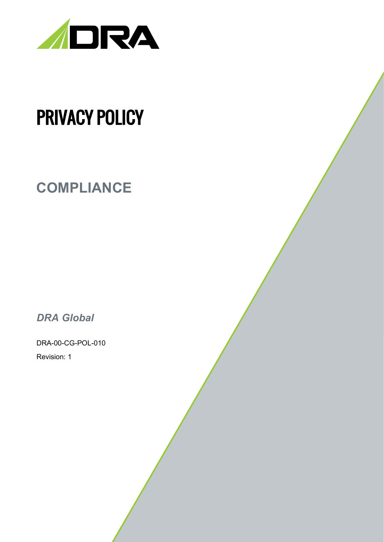

# PRIVACY POLICY

## **COMPLIANCE**

*DRA Global*

DRA-00-CG-POL-010 Revision: 1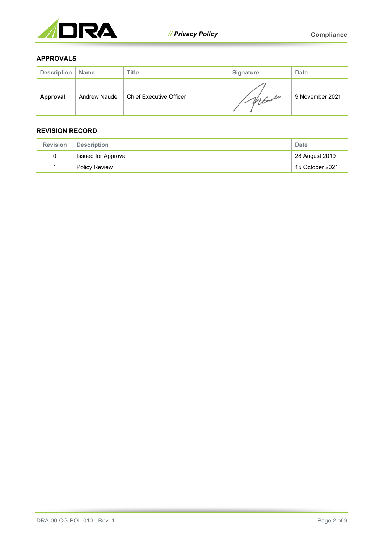

#### **APPROVALS**

| <b>Description</b> | <b>Name</b>         | <b>Title</b>                   | <b>Signature</b> | <b>Date</b>     |
|--------------------|---------------------|--------------------------------|------------------|-----------------|
| Approval           | <b>Andrew Naude</b> | <b>Chief Executive Officer</b> | 1. Maule         | 9 November 2021 |

#### **REVISION RECORD**

| <b>Revision</b> | <b>Description</b>               | Date           |
|-----------------|----------------------------------|----------------|
|                 | Issued for Approval              | 28 August 2019 |
|                 | 15 October 2021<br>Policy Review |                |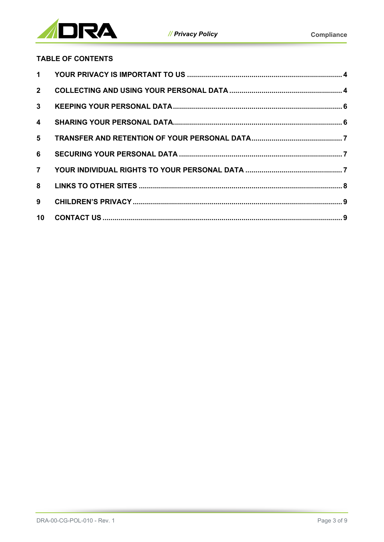

### **TABLE OF CONTENTS**

| $1 \quad$               |  |
|-------------------------|--|
| $2^{\circ}$             |  |
| 3 <sup>1</sup>          |  |
| $\overline{\mathbf{4}}$ |  |
| 5 <sup>5</sup>          |  |
| 6                       |  |
| $\overline{7}$          |  |
| 8                       |  |
| 9                       |  |
| 10 <sup>1</sup>         |  |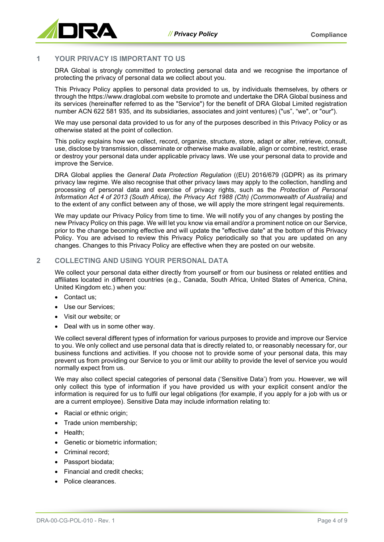

#### <span id="page-3-0"></span>**1 YOUR PRIVACY IS IMPORTANT TO US**

DRA Global is strongly committed to protecting personal data and we recognise the importance of protecting the privacy of personal data we collect about you.

This Privacy Policy applies to personal data provided to us, by individuals themselves, by others or through th[e https://www.draglobal.com](https://www.draglobal.com/) website to promote and undertake the DRA Global business and its services (hereinafter referred to as the "Service") for the benefit of DRA Global Limited registration number ACN 622 581 935, and its subsidiaries, associates and joint ventures) ("us", "we", or "our").

We may use personal data provided to us for any of the purposes described in this Privacy Policy or as otherwise stated at the point of collection.

This policy explains how we collect, record, organize, structure, store, adapt or alter, retrieve, consult, use, disclose by transmission, disseminate or otherwise make available, align or combine, restrict, erase or destroy your personal data under applicable privacy laws. We use your personal data to provide and improve the Service.

DRA Global applies the *General Data Protection Regulation* ((EU) 2016/679 (GDPR) as its primary privacy law regime. We also recognise that other privacy laws may apply to the collection, handling and processing of personal data and exercise of privacy rights, such as the *Protection of Personal Information Act 4 of 2013 (South Africa), the Privacy Act 1988 (Cth) (Commonwealth of Australia)* and to the extent of any conflict between any of those, we will apply the more stringent legal requirements.

We may update our Privacy Policy from time to time. We will notify you of any changes by posting the new Privacy Policy on this page. We will let you know via email and/or a prominent notice on our Service, prior to the change becoming effective and will update the "effective date" at the bottom of this Privacy Policy. You are advised to review this Privacy Policy periodically so that you are updated on any changes. Changes to this Privacy Policy are effective when they are posted on our website.

#### <span id="page-3-1"></span>**2 COLLECTING AND USING YOUR PERSONAL DATA**

We collect your personal data either directly from yourself or from our business or related entities and affiliates located in different countries (e.g., Canada, South Africa, United States of America, China, United Kingdom etc.) when you:

- Contact us:
- Use our Services:
- Visit our website; or
- Deal with us in some other way.

We collect several different types of information for various purposes to provide and improve our Service to you. We only collect and use personal data that is directly related to, or reasonably necessary for, our business functions and activities. If you choose not to provide some of your personal data, this may prevent us from providing our Service to you or limit our ability to provide the level of service you would normally expect from us.

We may also collect special categories of personal data ('Sensitive Data') from you. However, we will only collect this type of information if you have provided us with your explicit consent and/or the information is required for us to fulfil our legal obligations (for example, if you apply for a job with us or are a current employee). Sensitive Data may include information relating to:

- Racial or ethnic origin;
- Trade union membership;
- Health;
- Genetic or biometric information;
- Criminal record;
- Passport biodata;
- Financial and credit checks:
- Police clearances.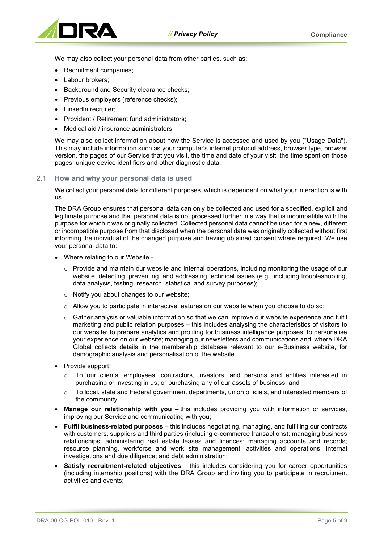

We may also collect your personal data from other parties, such as:

- Recruitment companies;
- Labour brokers;
- Background and Security clearance checks:
- Previous employers (reference checks);
- LinkedIn recruiter;
- Provident / Retirement fund administrators;
- Medical aid / insurance administrators.

We may also collect information about how the Service is accessed and used by you ("Usage Data"). This may include information such as your computer's internet protocol address, browser type, browser version, the pages of our Service that you visit, the time and date of your visit, the time spent on those pages, unique device identifiers and other diagnostic data.

#### **2.1 How and why your personal data is used**

We collect your personal data for different purposes, which is dependent on what your interaction is with us.

The DRA Group ensures that personal data can only be collected and used for a specified, explicit and legitimate purpose and that personal data is not processed further in a way that is incompatible with the purpose for which it was originally collected. Collected personal data cannot be used for a new, different or incompatible purpose from that disclosed when the personal data was originally collected without first informing the individual of the changed purpose and having obtained consent where required. We use your personal data to:

- Where relating to our Website
	- $\circ$  Provide and maintain our website and internal operations, including monitoring the usage of our website, detecting, preventing, and addressing technical issues (e.g., including troubleshooting, data analysis, testing, research, statistical and survey purposes);
	- o Notify you about changes to our website;
	- $\circ$  Allow you to participate in interactive features on our website when you choose to do so;
	- $\circ$  Gather analysis or valuable information so that we can improve our website experience and fulfil marketing and public relation purposes – this includes analysing the characteristics of visitors to our website; to prepare analytics and profiling for business intelligence purposes; to personalise your experience on our website; managing our newsletters and communications and, where DRA Global collects details in the membership database relevant to our e-Business website, for demographic analysis and personalisation of the website.
- Provide support:
	- o To our clients, employees, contractors, investors, and persons and entities interested in purchasing or investing in us, or purchasing any of our assets of business; and
	- $\circ$  To local, state and Federal government departments, union officials, and interested members of the community.
- **Manage our relationship with you –** this includes providing you with information or services, improving our Service and communicating with you;
- **Fulfil business-related purposes** this includes negotiating, managing, and fulfilling our contracts with customers, suppliers and third parties (including e-commerce transactions); managing business relationships; administering real estate leases and licences; managing accounts and records; resource planning, workforce and work site management; activities and operations; internal investigations and due diligence; and debt administration;
- **Satisfy recruitment-related objectives** this includes considering you for career opportunities (including internship positions) with the DRA Group and inviting you to participate in recruitment activities and events;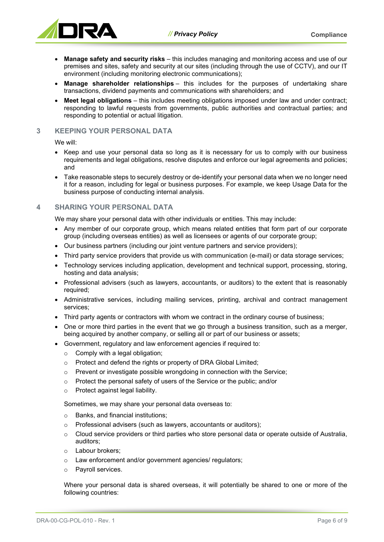

- **Manage safety and security risks** this includes managing and monitoring access and use of our premises and sites, safety and security at our sites (including through the use of CCTV), and our IT environment (including monitoring electronic communications);
- **Manage shareholder relationships** this includes for the purposes of undertaking share transactions, dividend payments and communications with shareholders; and
- **Meet legal obligations** this includes meeting obligations imposed under law and under contract; responding to lawful requests from governments, public authorities and contractual parties; and responding to potential or actual litigation.

#### <span id="page-5-0"></span>**3 KEEPING YOUR PERSONAL DATA**

We will:

- Keep and use your personal data so long as it is necessary for us to comply with our business requirements and legal obligations, resolve disputes and enforce our legal agreements and policies; and
- Take reasonable steps to securely destroy or de-identify your personal data when we no longer need it for a reason, including for legal or business purposes. For example, we keep Usage Data for the business purpose of conducting internal analysis.

#### <span id="page-5-1"></span>**4 SHARING YOUR PERSONAL DATA**

We may share your personal data with other individuals or entities. This may include:

- Any member of our corporate group, which means related entities that form part of our corporate group (including overseas entities) as well as licensees or agents of our corporate group;
- Our business partners (including our joint venture partners and service providers);
- Third party service providers that provide us with communication (e-mail) or data storage services;
- Technology services including application, development and technical support, processing, storing, hosting and data analysis;
- Professional advisers (such as lawyers, accountants, or auditors) to the extent that is reasonably required;
- Administrative services, including mailing services, printing, archival and contract management services;
- Third party agents or contractors with whom we contract in the ordinary course of business;
- One or more third parties in the event that we go through a business transition, such as a merger, being acquired by another company, or selling all or part of our business or assets;
- Government, regulatory and law enforcement agencies if required to:
	- o Comply with a legal obligation;
	- o Protect and defend the rights or property of DRA Global Limited;
	- o Prevent or investigate possible wrongdoing in connection with the Service;
	- o Protect the personal safety of users of the Service or the public; and/or
	- o Protect against legal liability.

Sometimes, we may share your personal data overseas to:

- o Banks, and financial institutions;
- o Professional advisers (such as lawyers, accountants or auditors);
- o Cloud service providers or third parties who store personal data or operate outside of Australia, auditors;
- o Labour brokers;
- o Law enforcement and/or government agencies/ regulators;
- o Payroll services.

Where your personal data is shared overseas, it will potentially be shared to one or more of the following countries: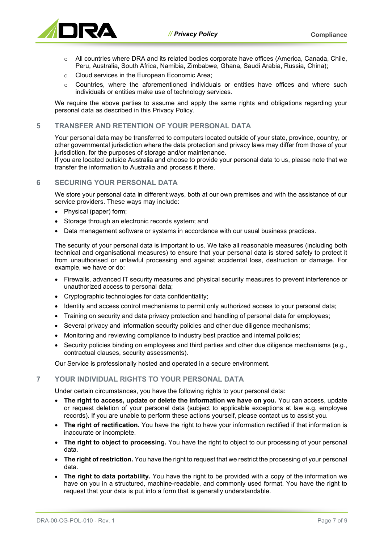

- o All countries where DRA and its related bodies corporate have offices (America, Canada, Chile, Peru, Australia, South Africa, Namibia, Zimbabwe, Ghana, Saudi Arabia, Russia, China);
- o Cloud services in the European Economic Area;
- $\circ$  Countries, where the aforementioned individuals or entities have offices and where such individuals or entities make use of technology services.

We require the above parties to assume and apply the same rights and obligations regarding your personal data as described in this Privacy Policy.

#### <span id="page-6-0"></span>**5 TRANSFER AND RETENTION OF YOUR PERSONAL DATA**

Your personal data may be transferred to computers located outside of your state, province, country, or other governmental jurisdiction where the data protection and privacy laws may differ from those of your jurisdiction, for the purposes of storage and/or maintenance.

If you are located outside Australia and choose to provide your personal data to us, please note that we transfer the information to Australia and process it there.

#### <span id="page-6-1"></span>**6 SECURING YOUR PERSONAL DATA**

We store your personal data in different ways, both at our own premises and with the assistance of our service providers. These ways may include:

- Physical (paper) form;
- Storage through an electronic records system; and
- Data management software or systems in accordance with our usual business practices.

The security of your personal data is important to us. We take all reasonable measures (including both technical and organisational measures) to ensure that your personal data is stored safely to protect it from unauthorised or unlawful processing and against accidental loss, destruction or damage. For example, we have or do:

- Firewalls, advanced IT security measures and physical security measures to prevent interference or unauthorized access to personal data;
- Cryptographic technologies for data confidentiality;
- Identity and access control mechanisms to permit only authorized access to your personal data;
- Training on security and data privacy protection and handling of personal data for employees;
- Several privacy and information security policies and other due diligence mechanisms;
- Monitoring and reviewing compliance to industry best practice and internal policies;
- Security policies binding on employees and third parties and other due diligence mechanisms (e.g., contractual clauses, security assessments).

Our Service is professionally hosted and operated in a secure environment.

#### <span id="page-6-2"></span>**7 YOUR INDIVIDUAL RIGHTS TO YOUR PERSONAL DATA**

Under certain circumstances, you have the following rights to your personal data:

- **The right to access, update or delete the information we have on you.** You can access, update or request deletion of your personal data (subject to applicable exceptions at law e.g. employee records). If you are unable to perform these actions yourself, please contact us to assist you.
- **The right of rectification.** You have the right to have your information rectified if that information is inaccurate or incomplete.
- **The right to object to processing.** You have the right to object to our processing of your personal data.
- **The right of restriction.** You have the right to request that we restrict the processing of your personal data.
- **The right to data portability.** You have the right to be provided with a copy of the information we have on you in a structured, machine-readable, and commonly used format. You have the right to request that your data is put into a form that is generally understandable.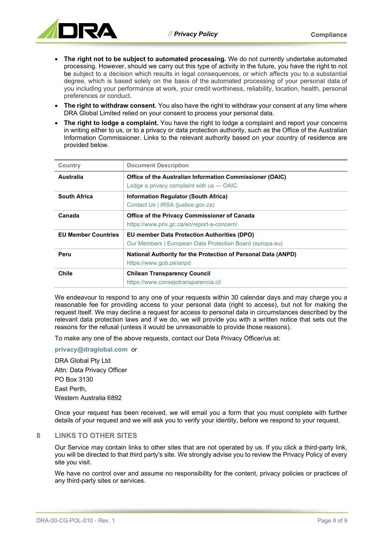

- **The right not to be subject to automated processing.** We do not currently undertake automated processing. However, should we carry out this type of activity in the future, you have the right to not be subject to a decision which results in legal consequences, or which affects you to a substantial degree, which is based solely on the basis of the [automated processing of your personal data](https://www.michalsons.com/members/programmes/data-protection/implementation/decision-making) of you including your performance at work, your credit worthiness, reliability, location, health, personal preferences or conduct.
- **The right to withdraw consent.** You also have the right to withdraw your consent at any time where DRA Global Limited relied on your consent to process your personal data.
- **The right to lodge a complaint.** You have the right to lodge a complaint and report your concerns in writing either to us, or to a privacy or data protection authority, such as the Office of the Australian Information Commissioner. Links to the relevant authority based on your country of residence are provided below.

| <b>Country</b>             | <b>Document Description</b>                                                                                    |
|----------------------------|----------------------------------------------------------------------------------------------------------------|
| <b>Australia</b>           | Office of the Australian Information Commissioner (OAIC)<br>Lodge a privacy complaint with $us - OAIC$         |
| <b>South Africa</b>        | Information Regulator (South Africa)<br>Contact Us   IRSA (justice.gov.za)                                     |
| Canada                     | Office of the Privacy Commissioner of Canada<br>https://www.priv.gc.ca/en/report-a-concern/                    |
| <b>EU Member Countries</b> | <b>EU member Data Protection Authorities (DPO)</b><br>Our Members   European Data Protection Board (europa.eu) |
| Peru                       | <b>National Authority for the Protection of Personal Data (ANPD)</b><br>https://www.gob.pe/anpd                |
| Chile                      | <b>Chilean Transparency Council</b><br>https://www.consejotransparencia.cl/                                    |

We endeavour to respond to any one of your requests within 30 calendar days and may charge you a reasonable fee for providing access to your personal data (right to access), but not for making the request itself. We may decline a request for access to personal data in circumstances described by the relevant data protection laws and if we do, we will provide you with a written notice that sets out the reasons for the refusal (unless it would be unreasonable to provide those reasons).

To make any one of the above requests, contact our Data Privacy Officer/us at:

**[privacy@draglobal.com](mailto:privacy@draglobal.com)** or

DRA Global Pty Ltd Attn: Data Privacy Officer PO Box 3130 East Perth, Western Australia 6892

Once your request has been received, we will email you a form that you must complete with further details of your request and we will ask you to verify your identity, before we respond to your request.

#### <span id="page-7-0"></span>**8 LINKS TO OTHER SITES**

Our Service may contain links to other sites that are not operated by us. If you click a third-party link, you will be directed to that third party's site. We strongly advise you to review the Privacy Policy of every site you visit.

We have no control over and assume no responsibility for the content, privacy policies or practices of any third-party sites or services.